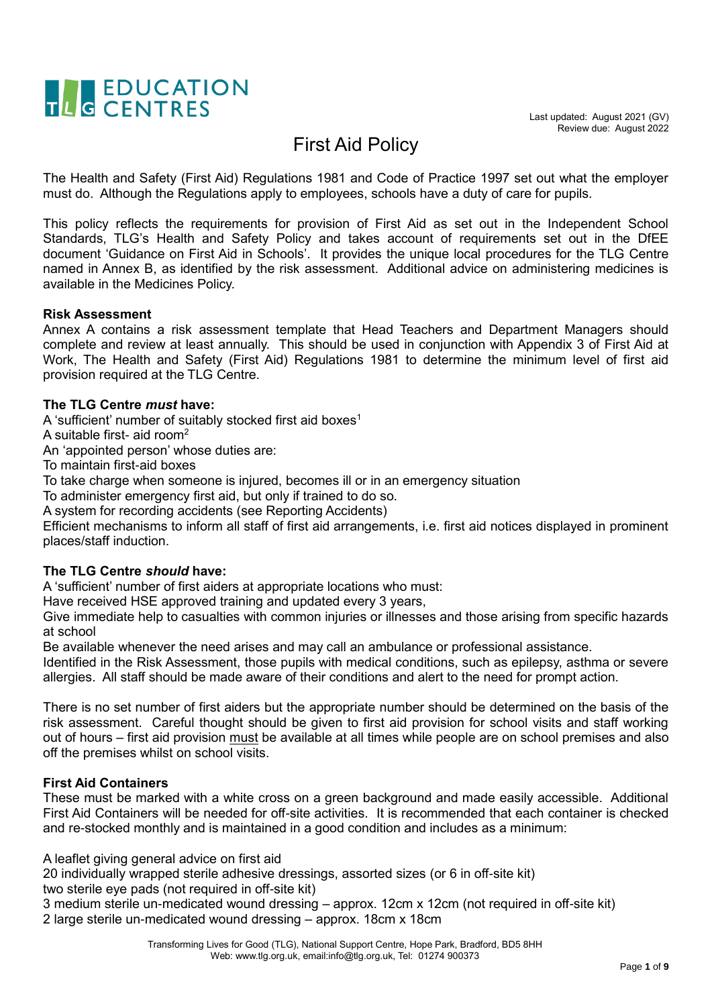

## First Aid Policy

The Health and Safety (First Aid) Regulations 1981 and Code of Practice 1997 set out what the employer must do. Although the Regulations apply to employees, schools have a duty of care for pupils.

This policy reflects the requirements for provision of First Aid as set out in the Independent School Standards, TLG's Health and Safety Policy and takes account of requirements set out in the DfEE document 'Guidance on First Aid in Schools'. It provides the unique local procedures for the TLG Centre named in Annex B, as identified by the risk assessment. Additional advice on administering medicines is available in the Medicines Policy.

#### **Risk Assessment**

Annex A contains a risk assessment template that Head Teachers and Department Managers should complete and review at least annually. This should be used in conjunction with Appendix 3 of First Aid at Work, The Health and Safety (First Aid) Regulations 1981 to determine the minimum level of first aid provision required at the TLG Centre.

#### **The TLG Centre** *must* **have:**

A 'sufficient' number of suitably stocked first aid boxes<sup>1</sup>

A suitable first- aid room<sup>2</sup>

An 'appointed person' whose duties are:

To maintain first-aid boxes

To take charge when someone is injured, becomes ill or in an emergency situation

To administer emergency first aid, but only if trained to do so.

A system for recording accidents (see Reporting Accidents)

Efficient mechanisms to inform all staff of first aid arrangements, i.e. first aid notices displayed in prominent places/staff induction.

#### **The TLG Centre** *should* **have:**

A 'sufficient' number of first aiders at appropriate locations who must:

Have received HSE approved training and updated every 3 years,

Give immediate help to casualties with common injuries or illnesses and those arising from specific hazards at school

Be available whenever the need arises and may call an ambulance or professional assistance.

Identified in the Risk Assessment, those pupils with medical conditions, such as epilepsy, asthma or severe allergies. All staff should be made aware of their conditions and alert to the need for prompt action.

There is no set number of first aiders but the appropriate number should be determined on the basis of the risk assessment. Careful thought should be given to first aid provision for school visits and staff working out of hours – first aid provision must be available at all times while people are on school premises and also off the premises whilst on school visits.

#### **First Aid Containers**

These must be marked with a white cross on a green background and made easily accessible. Additional First Aid Containers will be needed for off-site activities. It is recommended that each container is checked and re-stocked monthly and is maintained in a good condition and includes as a minimum:

A leaflet giving general advice on first aid

20 individually wrapped sterile adhesive dressings, assorted sizes (or 6 in off-site kit) two sterile eye pads (not required in off-site kit)

3 medium sterile un-medicated wound dressing – approx. 12cm x 12cm (not required in off-site kit) 2 large sterile un-medicated wound dressing – approx. 18cm x 18cm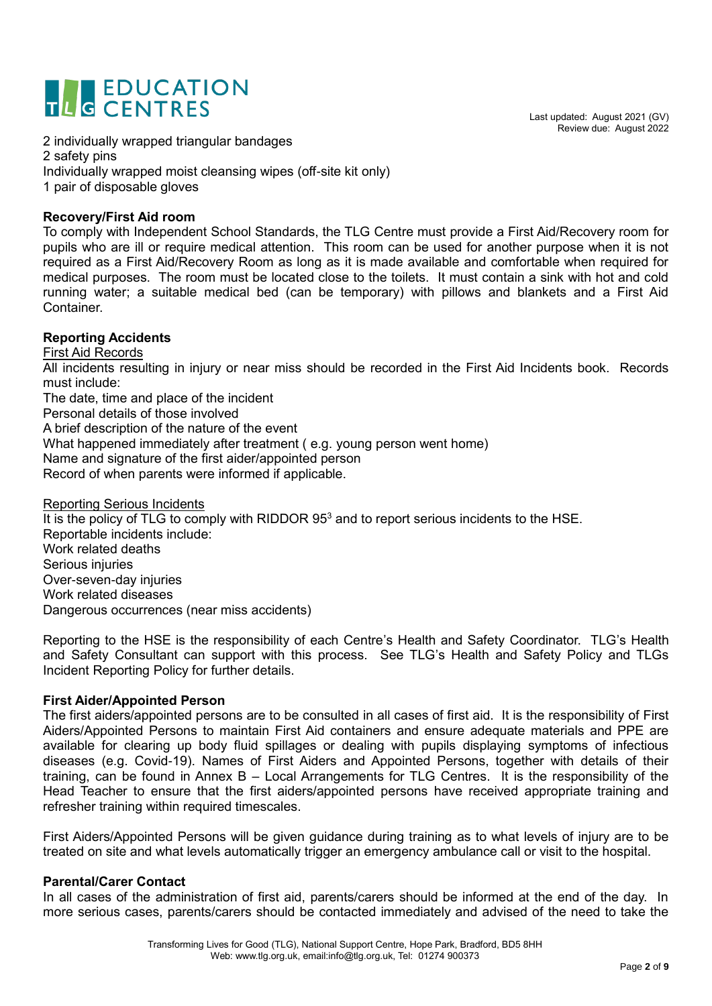## TLC EDUCATION

Last updated: August 2021 (GV) Review due: August 2022

2 individually wrapped triangular bandages 2 safety pins Individually wrapped moist cleansing wipes (off-site kit only) 1 pair of disposable gloves

#### **Recovery/First Aid room**

To comply with Independent School Standards, the TLG Centre must provide a First Aid/Recovery room for pupils who are ill or require medical attention. This room can be used for another purpose when it is not required as a First Aid/Recovery Room as long as it is made available and comfortable when required for medical purposes. The room must be located close to the toilets. It must contain a sink with hot and cold running water; a suitable medical bed (can be temporary) with pillows and blankets and a First Aid Container.

#### **Reporting Accidents**

First Aid Records

All incidents resulting in injury or near miss should be recorded in the First Aid Incidents book. Records must include:

The date, time and place of the incident Personal details of those involved

A brief description of the nature of the event

What happened immediately after treatment ( e.g. young person went home)

Name and signature of the first aider/appointed person

Record of when parents were informed if applicable.

Reporting Serious Incidents It is the policy of TLG to comply with RIDDOR 95<sup>3</sup> and to report serious incidents to the HSE. Reportable incidents include: Work related deaths Serious injuries Over-seven-day injuries Work related diseases Dangerous occurrences (near miss accidents)

Reporting to the HSE is the responsibility of each Centre's Health and Safety Coordinator. TLG's Health and Safety Consultant can support with this process. See TLG's Health and Safety Policy and TLGs Incident Reporting Policy for further details.

#### **First Aider/Appointed Person**

The first aiders/appointed persons are to be consulted in all cases of first aid. It is the responsibility of First Aiders/Appointed Persons to maintain First Aid containers and ensure adequate materials and PPE are available for clearing up body fluid spillages or dealing with pupils displaying symptoms of infectious diseases (e.g. Covid-19). Names of First Aiders and Appointed Persons, together with details of their training, can be found in Annex B – Local Arrangements for TLG Centres. It is the responsibility of the Head Teacher to ensure that the first aiders/appointed persons have received appropriate training and refresher training within required timescales.

First Aiders/Appointed Persons will be given guidance during training as to what levels of injury are to be treated on site and what levels automatically trigger an emergency ambulance call or visit to the hospital.

#### **Parental/Carer Contact**

In all cases of the administration of first aid, parents/carers should be informed at the end of the day. In more serious cases, parents/carers should be contacted immediately and advised of the need to take the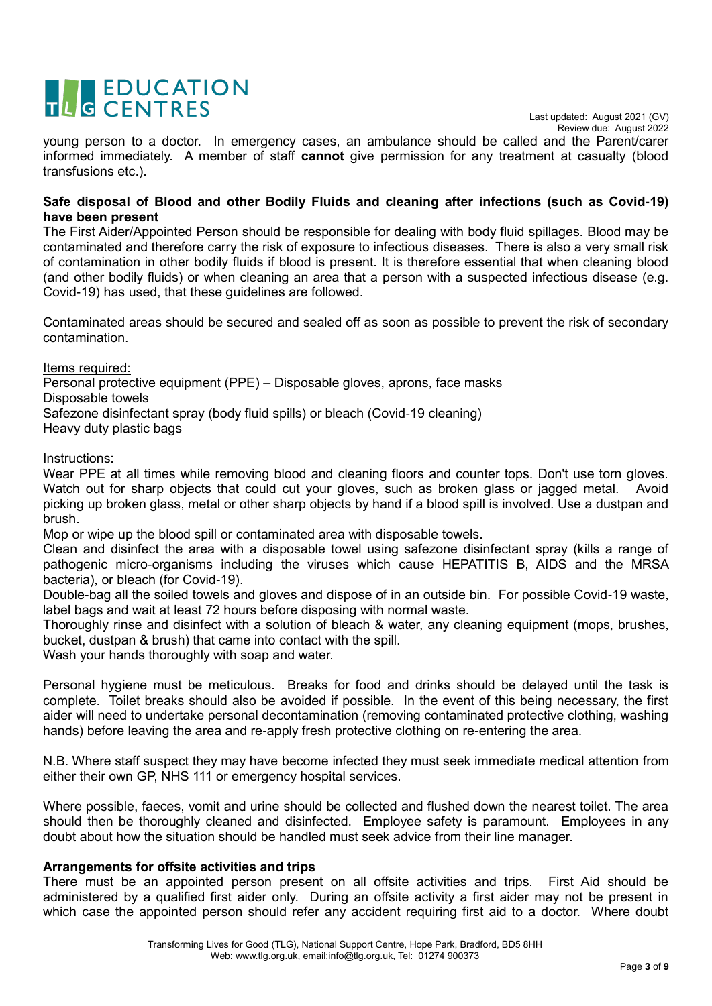# TLC EDUCATION

Last updated: August 2021 (GV) Review due: August 2022

young person to a doctor. In emergency cases, an ambulance should be called and the Parent/carer informed immediately. A member of staff **cannot** give permission for any treatment at casualty (blood transfusions etc.).

#### **Safe disposal of Blood and other Bodily Fluids and cleaning after infections (such as Covid-19) have been present**

The First Aider/Appointed Person should be responsible for dealing with body fluid spillages. Blood may be contaminated and therefore carry the risk of exposure to infectious diseases. There is also a very small risk of contamination in other bodily fluids if blood is present. It is therefore essential that when cleaning blood (and other bodily fluids) or when cleaning an area that a person with a suspected infectious disease (e.g. Covid-19) has used, that these guidelines are followed.

Contaminated areas should be secured and sealed off as soon as possible to prevent the risk of secondary contamination.

Items required:

Personal protective equipment (PPE) – Disposable gloves, aprons, face masks Disposable towels

Safezone disinfectant spray (body fluid spills) or bleach (Covid-19 cleaning)

Heavy duty plastic bags

Instructions:

Wear PPE at all times while removing blood and cleaning floors and counter tops. Don't use torn gloves. Watch out for sharp objects that could cut your gloves, such as broken glass or jagged metal. Avoid picking up broken glass, metal or other sharp objects by hand if a blood spill is involved. Use a dustpan and brush.

Mop or wipe up the blood spill or contaminated area with disposable towels.

Clean and disinfect the area with a disposable towel using safezone disinfectant spray (kills a range of pathogenic micro-organisms including the viruses which cause HEPATITIS B, AIDS and the MRSA bacteria), or bleach (for Covid-19).

Double-bag all the soiled towels and gloves and dispose of in an outside bin. For possible Covid-19 waste, label bags and wait at least 72 hours before disposing with normal waste.

Thoroughly rinse and disinfect with a solution of bleach & water, any cleaning equipment (mops, brushes, bucket, dustpan & brush) that came into contact with the spill.

Wash your hands thoroughly with soap and water.

Personal hygiene must be meticulous. Breaks for food and drinks should be delayed until the task is complete. Toilet breaks should also be avoided if possible. In the event of this being necessary, the first aider will need to undertake personal decontamination (removing contaminated protective clothing, washing hands) before leaving the area and re-apply fresh protective clothing on re-entering the area.

N.B. Where staff suspect they may have become infected they must seek immediate medical attention from either their own GP, NHS 111 or emergency hospital services.

Where possible, faeces, vomit and urine should be collected and flushed down the nearest toilet. The area should then be thoroughly cleaned and disinfected. Employee safety is paramount. Employees in any doubt about how the situation should be handled must seek advice from their line manager.

#### **Arrangements for offsite activities and trips**

There must be an appointed person present on all offsite activities and trips. First Aid should be administered by a qualified first aider only. During an offsite activity a first aider may not be present in which case the appointed person should refer any accident requiring first aid to a doctor. Where doubt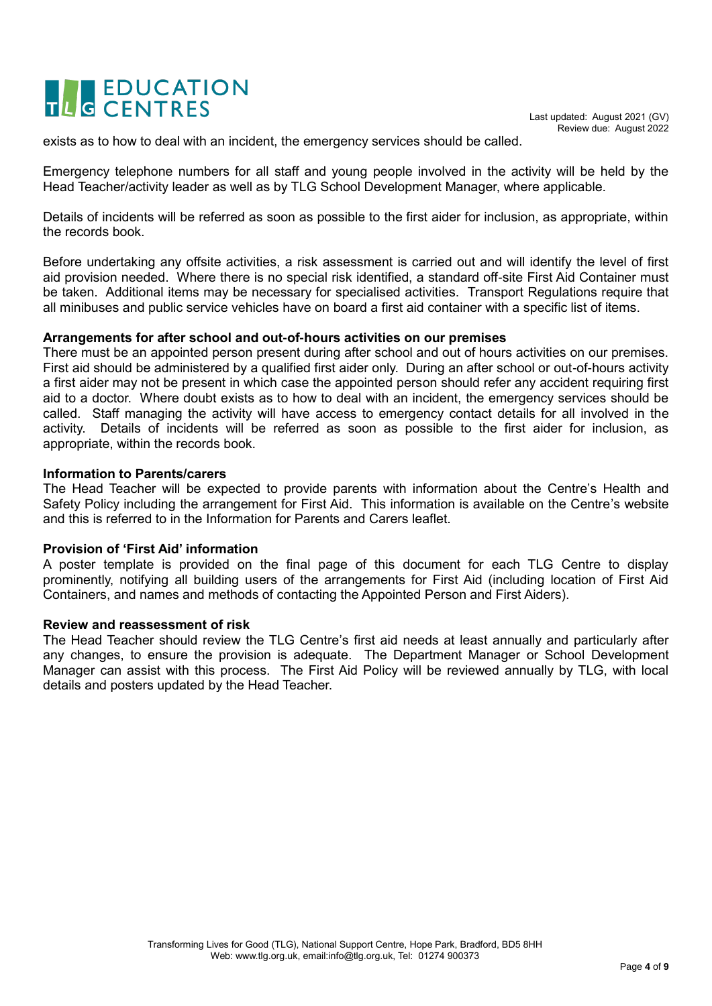# TLC EDUCATION

exists as to how to deal with an incident, the emergency services should be called.

Emergency telephone numbers for all staff and young people involved in the activity will be held by the Head Teacher/activity leader as well as by TLG School Development Manager, where applicable.

Details of incidents will be referred as soon as possible to the first aider for inclusion, as appropriate, within the records book.

Before undertaking any offsite activities, a risk assessment is carried out and will identify the level of first aid provision needed. Where there is no special risk identified, a standard off-site First Aid Container must be taken. Additional items may be necessary for specialised activities. Transport Regulations require that all minibuses and public service vehicles have on board a first aid container with a specific list of items.

#### **Arrangements for after school and out-of-hours activities on our premises**

There must be an appointed person present during after school and out of hours activities on our premises. First aid should be administered by a qualified first aider only. During an after school or out-of-hours activity a first aider may not be present in which case the appointed person should refer any accident requiring first aid to a doctor. Where doubt exists as to how to deal with an incident, the emergency services should be called. Staff managing the activity will have access to emergency contact details for all involved in the activity. Details of incidents will be referred as soon as possible to the first aider for inclusion, as appropriate, within the records book.

#### **Information to Parents/carers**

The Head Teacher will be expected to provide parents with information about the Centre's Health and Safety Policy including the arrangement for First Aid. This information is available on the Centre's website and this is referred to in the Information for Parents and Carers leaflet.

#### **Provision of 'First Aid' information**

A poster template is provided on the final page of this document for each TLG Centre to display prominently, notifying all building users of the arrangements for First Aid (including location of First Aid Containers, and names and methods of contacting the Appointed Person and First Aiders).

#### **Review and reassessment of risk**

The Head Teacher should review the TLG Centre's first aid needs at least annually and particularly after any changes, to ensure the provision is adequate. The Department Manager or School Development Manager can assist with this process. The First Aid Policy will be reviewed annually by TLG, with local details and posters updated by the Head Teacher.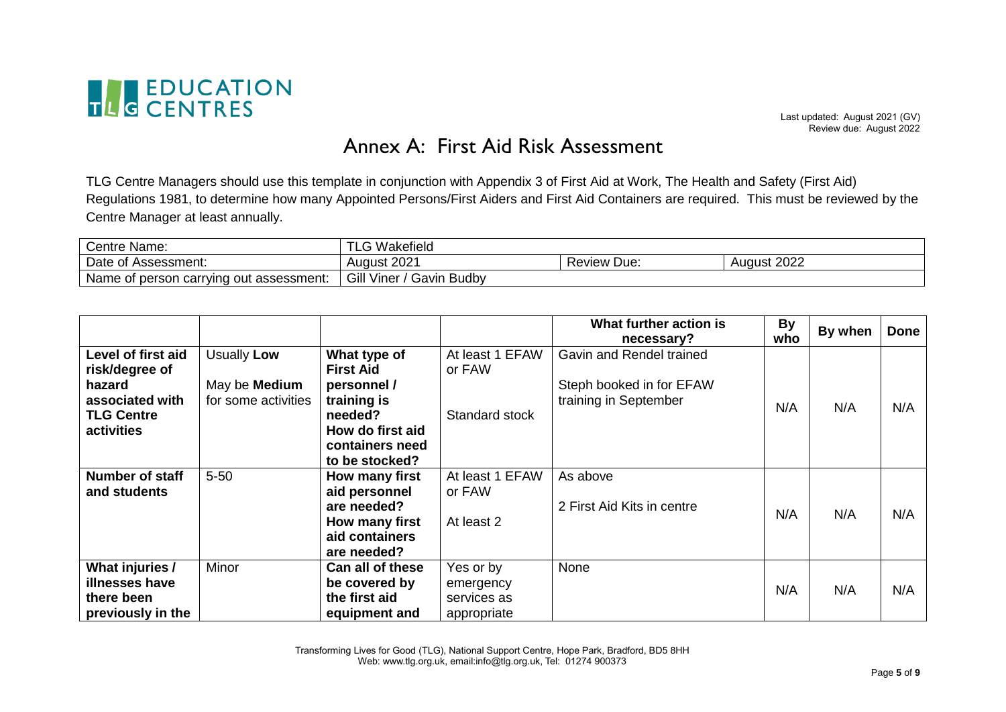

### Annex A: First Aid Risk Assessment

TLG Centre Managers should use this template in conjunction with Appendix 3 of First Aid at Work, The Health and Safety (First Aid) Regulations 1981, to determine how many Appointed Persons/First Aiders and First Aid Containers are required. This must be reviewed by the Centre Manager at least annually.

| Centre Name:                            | ∩ Wakefield<br>LU                       |             |             |
|-----------------------------------------|-----------------------------------------|-------------|-------------|
| Date of Assessment:                     | August 2021                             | Review Due: | August 2022 |
| Name of person carrying out assessment: | Gill Viner /<br><b>Budby</b><br>′ Gavin |             |             |

|                                      |                                             |                                                 |                           | What further action is<br>necessary?              | <b>By</b><br>who | By when | <b>Done</b> |
|--------------------------------------|---------------------------------------------|-------------------------------------------------|---------------------------|---------------------------------------------------|------------------|---------|-------------|
| Level of first aid<br>risk/degree of | Usually Low                                 | What type of<br><b>First Aid</b>                | At least 1 EFAW<br>or FAW | Gavin and Rendel trained                          |                  |         |             |
| hazard<br>associated with            | May be <b>Medium</b><br>for some activities | personnel /<br>training is                      |                           | Steph booked in for EFAW<br>training in September | N/A              | N/A     | N/A         |
| <b>TLG Centre</b><br>activities      |                                             | needed?<br>How do first aid<br>containers need  | Standard stock            |                                                   |                  |         |             |
|                                      |                                             | to be stocked?                                  |                           |                                                   |                  |         |             |
| Number of staff<br>and students      | $5 - 50$                                    | How many first<br>aid personnel<br>are needed?  | At least 1 EFAW<br>or FAW | As above<br>2 First Aid Kits in centre            |                  |         |             |
|                                      |                                             | How many first<br>aid containers<br>are needed? | At least 2                |                                                   | N/A              | N/A     | N/A         |
| What injuries /                      | Minor                                       | Can all of these                                | Yes or by                 | None                                              |                  |         |             |
| illnesses have<br>there been         |                                             | be covered by<br>the first aid                  | emergency<br>services as  |                                                   | N/A              | N/A     | N/A         |
| previously in the                    |                                             | equipment and                                   | appropriate               |                                                   |                  |         |             |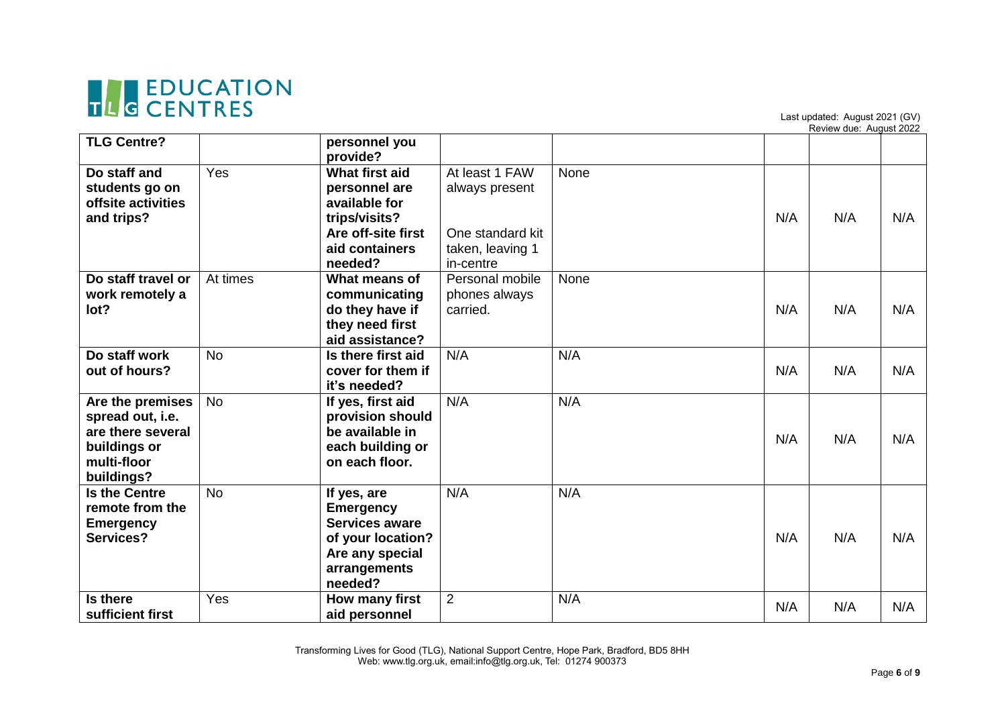

Last updated: August 2021 (GV)

|                                                                                                        |           |                                                                                                                             |                                                                                       |      |     | Review due: August 2022 |     |
|--------------------------------------------------------------------------------------------------------|-----------|-----------------------------------------------------------------------------------------------------------------------------|---------------------------------------------------------------------------------------|------|-----|-------------------------|-----|
| <b>TLG Centre?</b>                                                                                     |           | personnel you<br>provide?                                                                                                   |                                                                                       |      |     |                         |     |
| Do staff and<br>students go on<br>offsite activities<br>and trips?                                     | Yes       | What first aid<br>personnel are<br>available for<br>trips/visits?<br>Are off-site first<br>aid containers<br>needed?        | At least 1 FAW<br>always present<br>One standard kit<br>taken, leaving 1<br>in-centre | None | N/A | N/A                     | N/A |
| Do staff travel or<br>work remotely a<br>lot?                                                          | At times  | What means of<br>communicating<br>do they have if<br>they need first<br>aid assistance?                                     | Personal mobile<br>phones always<br>carried.                                          | None | N/A | N/A                     | N/A |
| Do staff work<br>out of hours?                                                                         | <b>No</b> | Is there first aid<br>cover for them if<br>it's needed?                                                                     | N/A                                                                                   | N/A  | N/A | N/A                     | N/A |
| Are the premises<br>spread out, i.e.<br>are there several<br>buildings or<br>multi-floor<br>buildings? | <b>No</b> | If yes, first aid<br>provision should<br>be available in<br>each building or<br>on each floor.                              | N/A                                                                                   | N/A  | N/A | N/A                     | N/A |
| <b>Is the Centre</b><br>remote from the<br><b>Emergency</b><br>Services?                               | <b>No</b> | If yes, are<br><b>Emergency</b><br><b>Services aware</b><br>of your location?<br>Are any special<br>arrangements<br>needed? | N/A                                                                                   | N/A  | N/A | N/A                     | N/A |
| Is there<br>sufficient first                                                                           | Yes       | How many first<br>aid personnel                                                                                             | $\overline{2}$                                                                        | N/A  | N/A | N/A                     | N/A |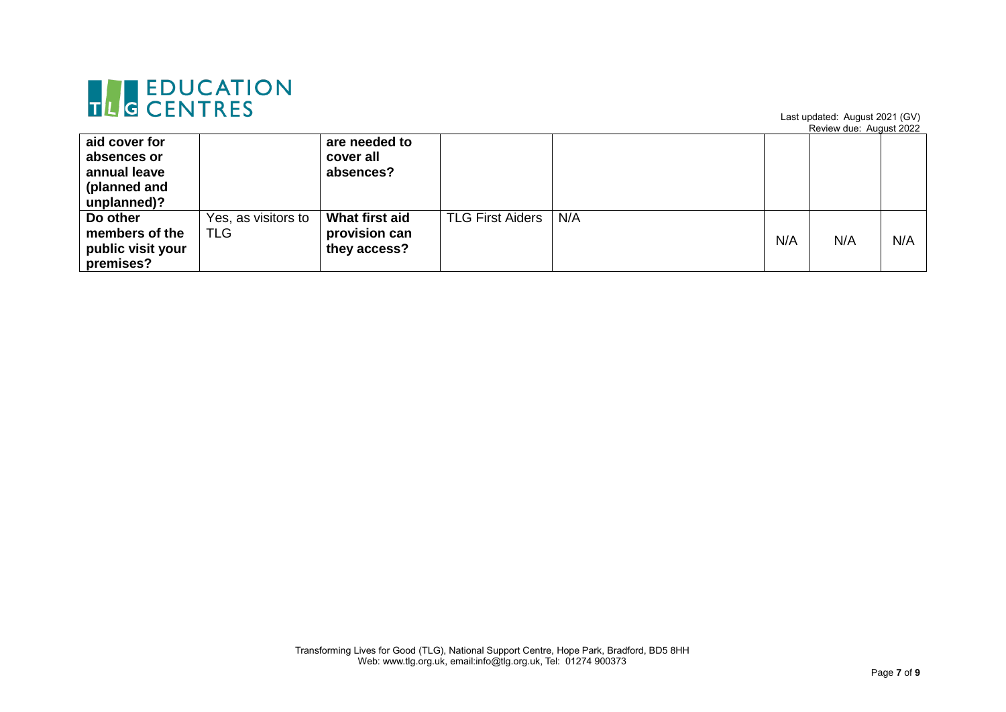

Last updated: August 2021 (GV)

Review due: August 2022

| aid cover for<br>absences or<br>annual leave<br>(planned and<br>unplanned)? |                                   | are needed to<br>cover all<br>absences?         |                         |     |     |     |     |
|-----------------------------------------------------------------------------|-----------------------------------|-------------------------------------------------|-------------------------|-----|-----|-----|-----|
| Do other<br>members of the<br>public visit your<br>premises?                | Yes, as visitors to<br><b>TLG</b> | What first aid<br>provision can<br>they access? | <b>TLG First Aiders</b> | N/A | N/A | N/A | N/A |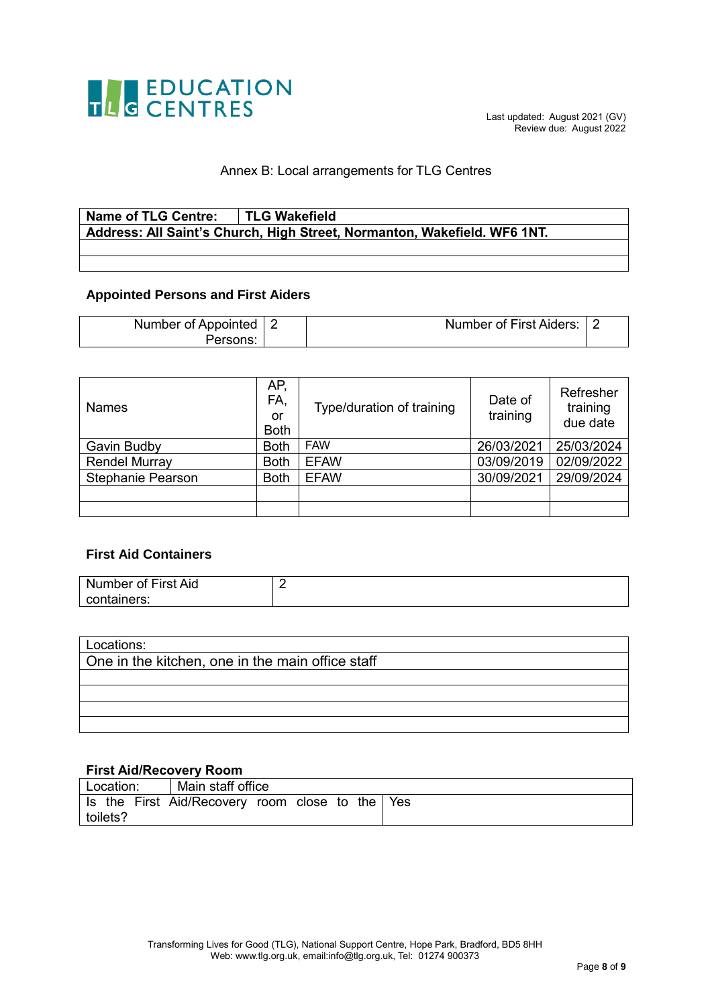

#### Annex B: Local arrangements for TLG Centres

### **Name of TLG Centre: TLG Wakefield Address: All Saint's Church, High Street, Normanton, Wakefield. WF6 1NT.**

#### **Appointed Persons and First Aiders**

| Number of Appointed   2 | Number of First Aiders: 2 |  |
|-------------------------|---------------------------|--|
|                         |                           |  |

| <b>Names</b>             | AP.<br>FA,<br>or<br><b>Both</b> | Type/duration of training | Date of<br>training | Refresher<br>training<br>due date |
|--------------------------|---------------------------------|---------------------------|---------------------|-----------------------------------|
| Gavin Budby              | <b>Both</b>                     | <b>FAW</b>                | 26/03/2021          | 25/03/2024                        |
| <b>Rendel Murray</b>     | <b>Both</b>                     | <b>EFAW</b>               | 03/09/2019          | 02/09/2022                        |
| <b>Stephanie Pearson</b> | <b>Both</b>                     | <b>EFAW</b>               | 30/09/2021          | 29/09/2024                        |
|                          |                                 |                           |                     |                                   |
|                          |                                 |                           |                     |                                   |

#### **First Aid Containers**

| Number of First Aid |  |
|---------------------|--|
| containers:         |  |

| Locations:                                       |  |  |  |  |  |  |  |  |
|--------------------------------------------------|--|--|--|--|--|--|--|--|
| One in the kitchen, one in the main office staff |  |  |  |  |  |  |  |  |
|                                                  |  |  |  |  |  |  |  |  |
|                                                  |  |  |  |  |  |  |  |  |
|                                                  |  |  |  |  |  |  |  |  |
|                                                  |  |  |  |  |  |  |  |  |
|                                                  |  |  |  |  |  |  |  |  |

#### **First Aid/Recovery Room**

| Location: | Main staff office                               |  |  |  |  |  |
|-----------|-------------------------------------------------|--|--|--|--|--|
|           | Is the First Aid/Recovery room close to the Yes |  |  |  |  |  |
| toilets?  |                                                 |  |  |  |  |  |